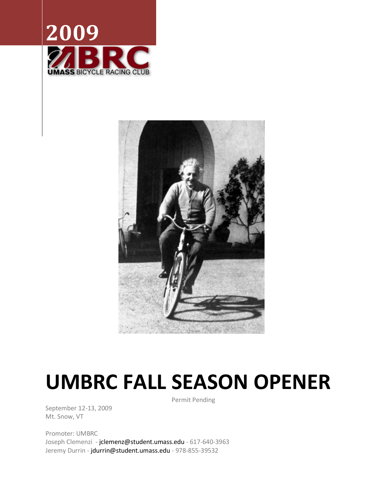



# **UMBRC FALL SEASON OPENER**

September 12-13, 2009 Mt. Snow, VT

Promoter: UMBRC Joseph Clemenzi - [jclemenz@student.umass.edu](mailto:jclemenz@student.umass.edu) - 617-640-3963 Jeremy Durrin - [jdurrin@student.umass.edu](mailto:jdurrin@student.umass.edu) - 978-855-39532

Permit Pending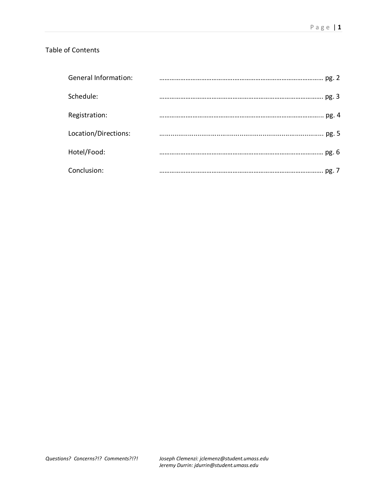# Table of Contents

| <b>General Information:</b> |  |
|-----------------------------|--|
| Schedule:                   |  |
| Registration:               |  |
| Location/Directions:        |  |
| Hotel/Food:                 |  |
| Conclusion:                 |  |

*Questions? Concerns?!? Comments?!?! Joseph Clemenzi: jclemenz@student.umass.edu Jeremy Durrin: jdurrin@student.umass.edu*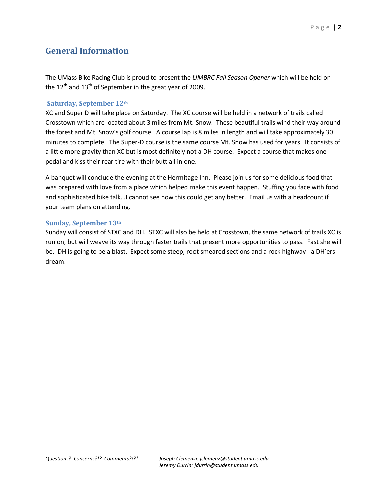# **General Information**

The UMass Bike Racing Club is proud to present the *UMBRC Fall Season Opener* which will be held on the  $12<sup>th</sup>$  and  $13<sup>th</sup>$  of September in the great year of 2009.

## **Saturday, September 12th**

XC and Super D will take place on Saturday. The XC course will be held in a network of trails called Crosstown which are located about 3 miles from Mt. Snow. These beautiful trails wind their way around the forest and Mt. Snow's golf course. A course lap is 8 miles in length and will take approximately 30 minutes to complete. The Super-D course is the same course Mt. Snow has used for years. It consists of a little more gravity than XC but is most definitely not a DH course. Expect a course that makes one pedal and kiss their rear tire with their butt all in one.

A banquet will conclude the evening at the Hermitage Inn. Please join us for some delicious food that was prepared with love from a place which helped make this event happen. Stuffing you face with food and sophisticated bike talk…I cannot see how this could get any better. Email us with a headcount if your team plans on attending.

## **Sunday, September 13th**

Sunday will consist of STXC and DH. STXC will also be held at Crosstown, the same network of trails XC is run on, but will weave its way through faster trails that present more opportunities to pass. Fast she will be. DH is going to be a blast. Expect some steep, root smeared sections and a rock highway - a DH'ers dream.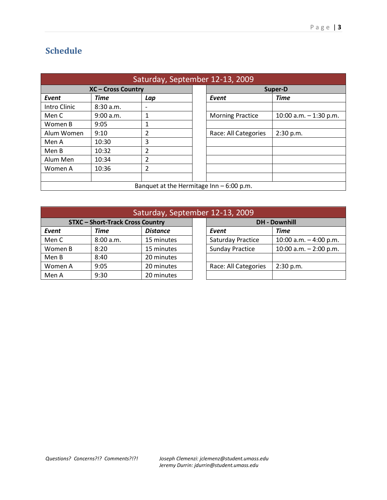# **Schedule**

| Saturday, September 12-13, 2009           |             |                |         |                         |                         |  |  |  |
|-------------------------------------------|-------------|----------------|---------|-------------------------|-------------------------|--|--|--|
| <b>XC-Cross Country</b>                   |             |                | Super-D |                         |                         |  |  |  |
| Event                                     | <b>Time</b> | Lap            |         | Event                   | <b>Time</b>             |  |  |  |
| Intro Clinic                              | 8:30 a.m.   |                |         |                         |                         |  |  |  |
| Men C                                     | 9:00 a.m.   |                |         | <b>Morning Practice</b> | 10:00 a.m. $-1:30$ p.m. |  |  |  |
| Women B                                   | 9:05        |                |         |                         |                         |  |  |  |
| Alum Women                                | 9:10        | $\overline{2}$ |         | Race: All Categories    | 2:30 p.m.               |  |  |  |
| Men A                                     | 10:30       | 3              |         |                         |                         |  |  |  |
| Men B                                     | 10:32       | 2              |         |                         |                         |  |  |  |
| Alum Men                                  | 10:34       | 2              |         |                         |                         |  |  |  |
| Women A                                   | 10:36       | 2              |         |                         |                         |  |  |  |
|                                           |             |                |         |                         |                         |  |  |  |
| Banquet at the Hermitage Inn $-6:00$ p.m. |             |                |         |                         |                         |  |  |  |

| Saturday, September 12-13, 2009       |             |                 |  |                          |                          |  |  |
|---------------------------------------|-------------|-----------------|--|--------------------------|--------------------------|--|--|
| <b>STXC-Short-Track Cross Country</b> |             |                 |  | <b>DH - Downhill</b>     |                          |  |  |
| Event                                 | <b>Time</b> | <b>Distance</b> |  | Event                    | <b>Time</b>              |  |  |
| Men C                                 | 8:00 a.m.   | 15 minutes      |  | <b>Saturday Practice</b> | 10:00 a.m. $-4:00$ p.m.  |  |  |
| Women B                               | 8:20        | 15 minutes      |  | <b>Sunday Practice</b>   | 10:00 a.m. $- 2:00$ p.m. |  |  |
| Men B                                 | 8:40        | 20 minutes      |  |                          |                          |  |  |
| Women A                               | 9:05        | 20 minutes      |  | Race: All Categories     | 2:30 p.m.                |  |  |
| Men A                                 | 9:30        | 20 minutes      |  |                          |                          |  |  |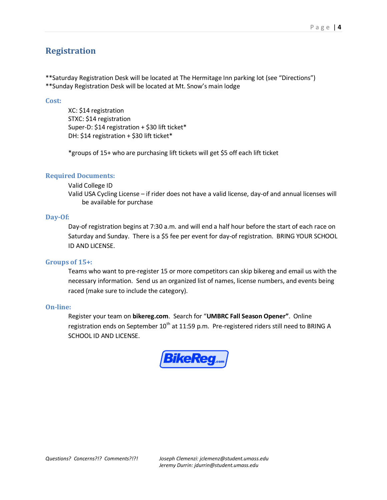# **Registration**

\*\*Saturday Registration Desk will be located at The Hermitage Inn parking lot (see "Directions") \*\*Sunday Registration Desk will be located at Mt. Snow's main lodge

#### **Cost:**

XC: \$14 registration STXC: \$14 registration Super-D: \$14 registration + \$30 lift ticket\* DH: \$14 registration + \$30 lift ticket\*

\*groups of 15+ who are purchasing lift tickets will get \$5 off each lift ticket

## **Required Documents:**

#### Valid College ID

Valid USA Cycling License – if rider does not have a valid license, day-of and annual licenses will be available for purchase

#### **Day-Of:**

Day-of registration begins at 7:30 a.m. and will end a half hour before the start of each race on Saturday and Sunday. There is a \$5 fee per event for day-of registration. BRING YOUR SCHOOL ID AND LICENSE.

#### **Groups of 15+:**

Teams who want to pre-register 15 or more competitors can skip bikereg and email us with the necessary information. Send us an organized list of names, license numbers, and events being raced (make sure to include the category).

#### **On-line:**

Register your team on **bikereg.com**. Search for "**UMBRC Fall Season Opener"**. Online registration ends on September  $10^{th}$  at 11:59 p.m. Pre-registered riders still need to BRING A SCHOOL ID AND LICENSE.

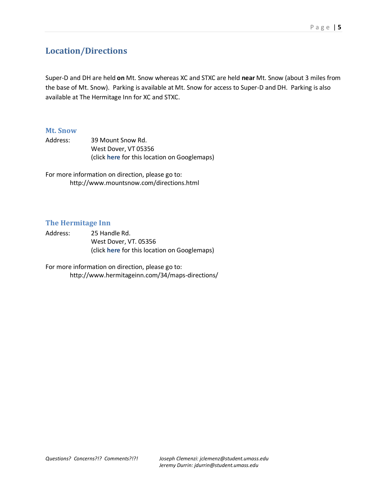# **Location/Directions**

Super-D and DH are held **on** Mt. Snow whereas XC and STXC are held **near** Mt. Snow (about 3 miles from the base of Mt. Snow). Parking is available at Mt. Snow for access to Super-D and DH. Parking is also available at The Hermitage Inn for XC and STXC.

## **Mt. Snow**

Address: 39 Mount Snow Rd. West Dover, VT 05356 (click **[here](http://maps.google.com/maps?f=q&source=s_q&hl=en&geocode=&q=39+Mount+Snow+Rd.+%09%09West+Dover,+VT+05356&sll=42.967854,-72.891433&sspn=0.007599,0.01929&ie=UTF8&ll=42.967854,-72.891433&spn=0.007599,0.01929&z=16&iwloc=A)** for this location on Googlemaps)

For more information on direction, please go to: <http://www.mountsnow.com/directions.html>

## **The Hermitage Inn**

Address: 25 Handle Rd. West Dover, VT. 05356 (click **[here](http://maps.google.com/maps?f=q&source=s_q&hl=en&geocode=&q=25+Handle+Rd.+%09%09West+Dover,+VT.+05356&sll=42.967854,-72.891433&sspn=0.007599,0.01929&ie=UTF8&ll=42.929578,-72.890639&spn=0.007604,0.01929&z=16&iwloc=A)** for this location on Googlemaps)

For more information on direction, please go to: <http://www.hermitageinn.com/34/maps-directions/>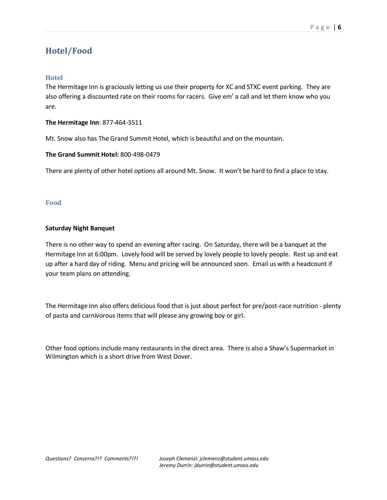# **Hotel/Food**

## **Hotel**

The Hermitage Inn is graciously letting us use their property for XC and STXC event parking. They are also offering a discounted rate on their rooms for racers. Give em' a call and let them know who you are.

## **The Hermitage Inn**: 877-464-3511

Mt. Snow also has The Grand Summit Hotel, which is beautiful and on the mountain.

#### **The Grand Summit Hotel:** 800-498-0479

There are plenty of other hotel options all around Mt. Snow. It won't be hard to find a place to stay.

#### **Food**

#### **Saturday Night Banquet**

There is no other way to spend an evening after racing. On Saturday, there will be a banquet at the Hermitage Inn at 6:00pm. Lovely food will be served by lovely people to lovely people. Rest up and eat up after a hard day of riding. Menu and pricing will be announced soon. Email us with a headcount if your team plans on attending.

The Hermitage Inn also offers delicious food that is just about perfect for pre/post-race nutrition - plenty of pasta and carnivorous items that will please any growing boy or girl.

Other food options include many restaurants in the direct area. There is also a Shaw's Supermarket in Wilmington which is a short drive from West Dover.